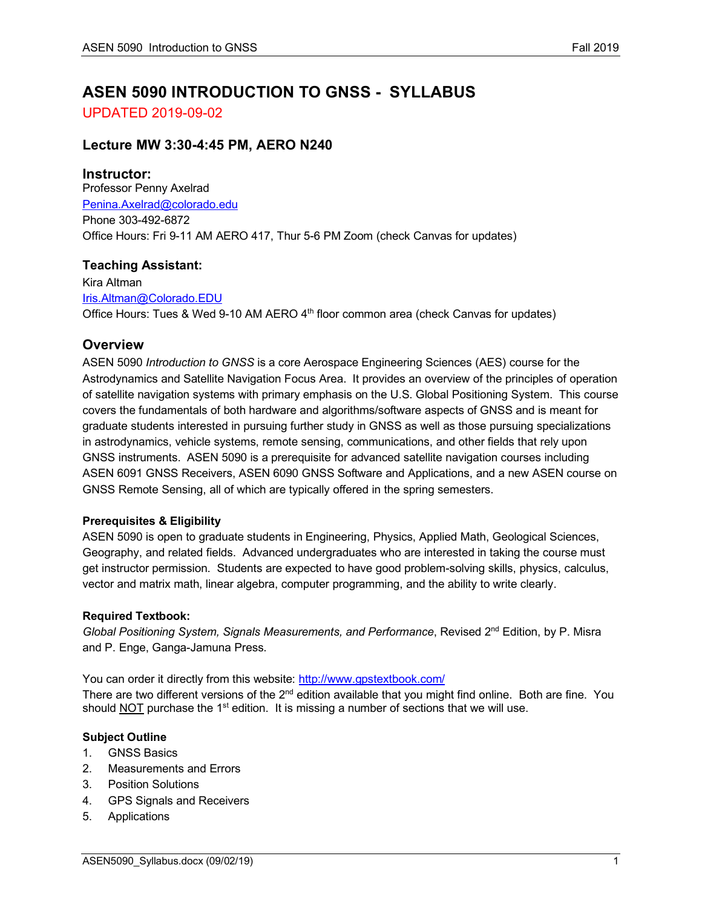# **ASEN 5090 INTRODUCTION TO GNSS - SYLLABUS**

UPDATED 2019-09-02

# **Lecture MW 3:30-4:45 PM, AERO N240**

# **Instructor:**

Professor Penny Axelrad Penina.Axelrad@colorado.edu Phone 303-492-6872 Office Hours: Fri 9-11 AM AERO 417, Thur 5-6 PM Zoom (check Canvas for updates)

# **Teaching Assistant:**

Kira Altman Iris.Altman@Colorado.EDU Office Hours: Tues & Wed 9-10 AM AERO 4<sup>th</sup> floor common area (check Canvas for updates)

# **Overview**

ASEN 5090 *Introduction to GNSS* is a core Aerospace Engineering Sciences (AES) course for the Astrodynamics and Satellite Navigation Focus Area. It provides an overview of the principles of operation of satellite navigation systems with primary emphasis on the U.S. Global Positioning System. This course covers the fundamentals of both hardware and algorithms/software aspects of GNSS and is meant for graduate students interested in pursuing further study in GNSS as well as those pursuing specializations in astrodynamics, vehicle systems, remote sensing, communications, and other fields that rely upon GNSS instruments. ASEN 5090 is a prerequisite for advanced satellite navigation courses including ASEN 6091 GNSS Receivers, ASEN 6090 GNSS Software and Applications, and a new ASEN course on GNSS Remote Sensing, all of which are typically offered in the spring semesters.

# **Prerequisites & Eligibility**

ASEN 5090 is open to graduate students in Engineering, Physics, Applied Math, Geological Sciences, Geography, and related fields. Advanced undergraduates who are interested in taking the course must get instructor permission. Students are expected to have good problem-solving skills, physics, calculus, vector and matrix math, linear algebra, computer programming, and the ability to write clearly.

# **Required Textbook:**

*Global Positioning System, Signals Measurements, and Performance*, Revised 2nd Edition, by P. Misra and P. Enge, Ganga-Jamuna Press.

You can order it directly from this website: http://www.gpstextbook.com/ There are two different versions of the 2<sup>nd</sup> edition available that you might find online. Both are fine. You should NOT purchase the  $1<sup>st</sup>$  edition. It is missing a number of sections that we will use.

# **Subject Outline**

- 1. GNSS Basics
- 2. Measurements and Errors
- 3. Position Solutions
- 4. GPS Signals and Receivers
- 5. Applications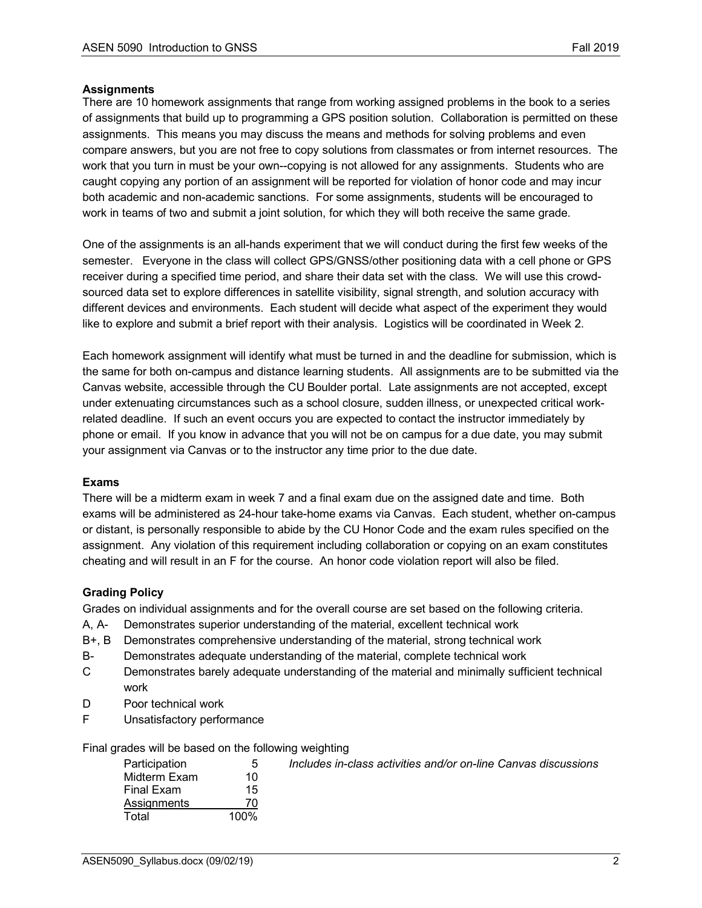#### **Assignments**

There are 10 homework assignments that range from working assigned problems in the book to a series of assignments that build up to programming a GPS position solution. Collaboration is permitted on these assignments. This means you may discuss the means and methods for solving problems and even compare answers, but you are not free to copy solutions from classmates or from internet resources. The work that you turn in must be your own--copying is not allowed for any assignments. Students who are caught copying any portion of an assignment will be reported for violation of honor code and may incur both academic and non-academic sanctions. For some assignments, students will be encouraged to work in teams of two and submit a joint solution, for which they will both receive the same grade.

One of the assignments is an all-hands experiment that we will conduct during the first few weeks of the semester. Everyone in the class will collect GPS/GNSS/other positioning data with a cell phone or GPS receiver during a specified time period, and share their data set with the class. We will use this crowdsourced data set to explore differences in satellite visibility, signal strength, and solution accuracy with different devices and environments. Each student will decide what aspect of the experiment they would like to explore and submit a brief report with their analysis. Logistics will be coordinated in Week 2.

Each homework assignment will identify what must be turned in and the deadline for submission, which is the same for both on-campus and distance learning students. All assignments are to be submitted via the Canvas website, accessible through the CU Boulder portal. Late assignments are not accepted, except under extenuating circumstances such as a school closure, sudden illness, or unexpected critical workrelated deadline. If such an event occurs you are expected to contact the instructor immediately by phone or email. If you know in advance that you will not be on campus for a due date, you may submit your assignment via Canvas or to the instructor any time prior to the due date.

# **Exams**

There will be a midterm exam in week 7 and a final exam due on the assigned date and time. Both exams will be administered as 24-hour take-home exams via Canvas. Each student, whether on-campus or distant, is personally responsible to abide by the CU Honor Code and the exam rules specified on the assignment. Any violation of this requirement including collaboration or copying on an exam constitutes cheating and will result in an F for the course. An honor code violation report will also be filed.

# **Grading Policy**

Grades on individual assignments and for the overall course are set based on the following criteria.

- A, A- Demonstrates superior understanding of the material, excellent technical work
- B+, B Demonstrates comprehensive understanding of the material, strong technical work
- B- Demonstrates adequate understanding of the material, complete technical work
- C Demonstrates barely adequate understanding of the material and minimally sufficient technical work
- D Poor technical work
- F Unsatisfactory performance

Final grades will be based on the following weighting

| Participation      | $\mathfrak h$ | Includes in-class activities and/or on-line Canvas discussions |
|--------------------|---------------|----------------------------------------------------------------|
| Midterm Exam       | 10            |                                                                |
| Final Exam         | 15            |                                                                |
| <b>Assignments</b> |               |                                                                |
| Total              | 100%          |                                                                |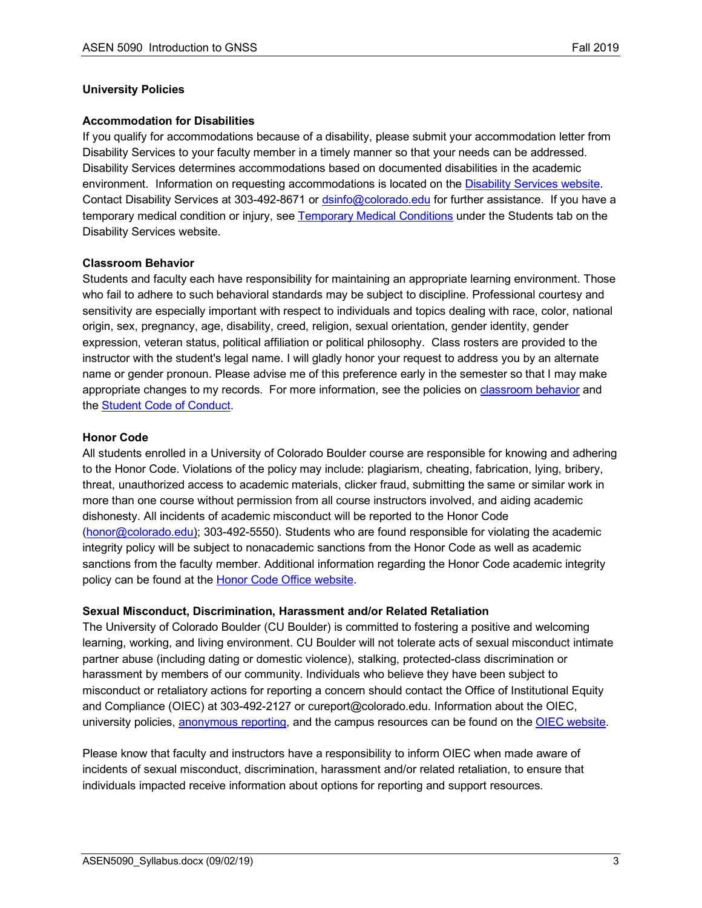#### **University Policies**

#### **Accommodation for Disabilities**

If you qualify for accommodations because of a disability, please submit your accommodation letter from Disability Services to your faculty member in a timely manner so that your needs can be addressed. Disability Services determines accommodations based on documented disabilities in the academic environment. Information on requesting accommodations is located on the Disability Services website. Contact Disability Services at 303-492-8671 or dsinfo@colorado.edu for further assistance. If you have a temporary medical condition or injury, see Temporary Medical Conditions under the Students tab on the Disability Services website.

#### **Classroom Behavior**

Students and faculty each have responsibility for maintaining an appropriate learning environment. Those who fail to adhere to such behavioral standards may be subject to discipline. Professional courtesy and sensitivity are especially important with respect to individuals and topics dealing with race, color, national origin, sex, pregnancy, age, disability, creed, religion, sexual orientation, gender identity, gender expression, veteran status, political affiliation or political philosophy. Class rosters are provided to the instructor with the student's legal name. I will gladly honor your request to address you by an alternate name or gender pronoun. Please advise me of this preference early in the semester so that I may make appropriate changes to my records. For more information, see the policies on classroom behavior and the Student Code of Conduct.

#### **Honor Code**

All students enrolled in a University of Colorado Boulder course are responsible for knowing and adhering to the Honor Code. Violations of the policy may include: plagiarism, cheating, fabrication, lying, bribery, threat, unauthorized access to academic materials, clicker fraud, submitting the same or similar work in more than one course without permission from all course instructors involved, and aiding academic dishonesty. All incidents of academic misconduct will be reported to the Honor Code (honor@colorado.edu); 303-492-5550). Students who are found responsible for violating the academic integrity policy will be subject to nonacademic sanctions from the Honor Code as well as academic sanctions from the faculty member. Additional information regarding the Honor Code academic integrity policy can be found at the Honor Code Office website.

#### **Sexual Misconduct, Discrimination, Harassment and/or Related Retaliation**

The University of Colorado Boulder (CU Boulder) is committed to fostering a positive and welcoming learning, working, and living environment. CU Boulder will not tolerate acts of sexual misconduct intimate partner abuse (including dating or domestic violence), stalking, protected-class discrimination or harassment by members of our community. Individuals who believe they have been subject to misconduct or retaliatory actions for reporting a concern should contact the Office of Institutional Equity and Compliance (OIEC) at 303-492-2127 or cureport@colorado.edu. Information about the OIEC, university policies, anonymous reporting, and the campus resources can be found on the **OIEC website**.

Please know that faculty and instructors have a responsibility to inform OIEC when made aware of incidents of sexual misconduct, discrimination, harassment and/or related retaliation, to ensure that individuals impacted receive information about options for reporting and support resources.